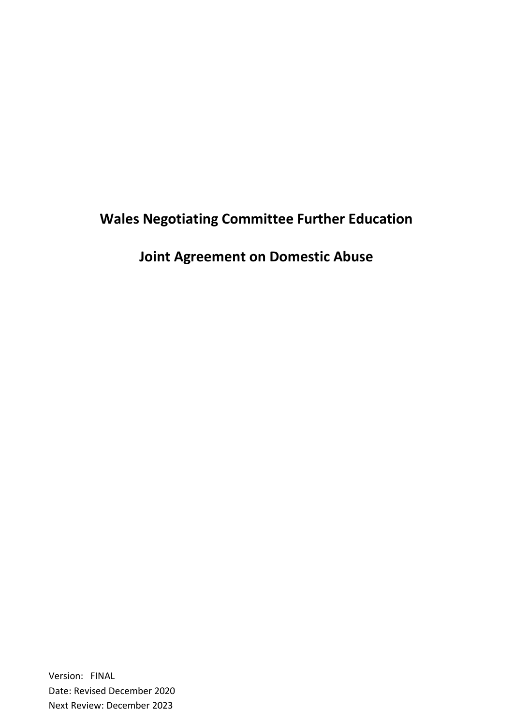# **Wales Negotiating Committee Further Education**

**Joint Agreement on Domestic Abuse**

Version: FINAL Date: Revised December 2020 Next Review: December 2023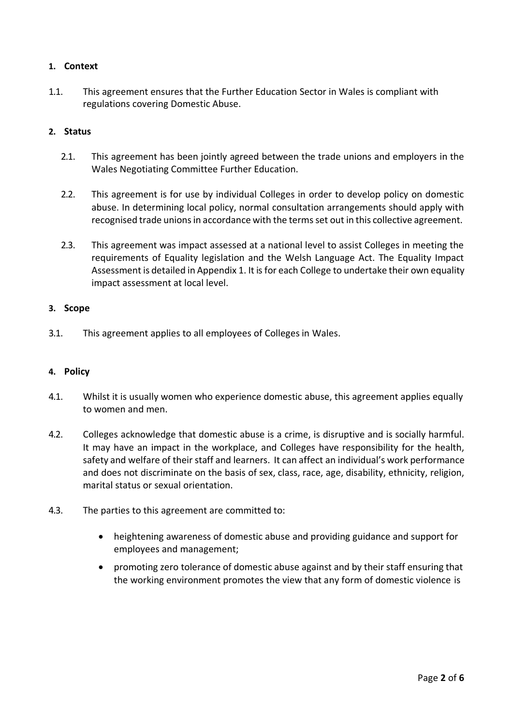## **1. Context**

1.1. This agreement ensures that the Further Education Sector in Wales is compliant with regulations covering Domestic Abuse.

### **2. Status**

- 2.1. This agreement has been jointly agreed between the trade unions and employers in the Wales Negotiating Committee Further Education.
- 2.2. This agreement is for use by individual Colleges in order to develop policy on domestic abuse. In determining local policy, normal consultation arrangements should apply with recognised trade unionsin accordance with the termsset out in this collective agreement.
- 2.3. This agreement was impact assessed at a national level to assist Colleges in meeting the requirements of Equality legislation and the Welsh Language Act. The Equality Impact Assessment is detailed in Appendix 1. It is for each College to undertake their own equality impact assessment at local level.

### **3. Scope**

3.1. This agreement applies to all employees of Colleges in Wales.

#### **4. Policy**

- 4.1. Whilst it is usually women who experience domestic abuse, this agreement applies equally to women and men.
- 4.2. Colleges acknowledge that domestic abuse is a crime, is disruptive and is socially harmful. It may have an impact in the workplace, and Colleges have responsibility for the health, safety and welfare of their staff and learners. It can affect an individual's work performance and does not discriminate on the basis of sex, class, race, age, disability, ethnicity, religion, marital status or sexual orientation.
- 4.3. The parties to this agreement are committed to:
	- heightening awareness of domestic abuse and providing guidance and support for employees and management;
	- promoting zero tolerance of domestic abuse against and by their staff ensuring that the working environment promotes the view that any form of domestic violence is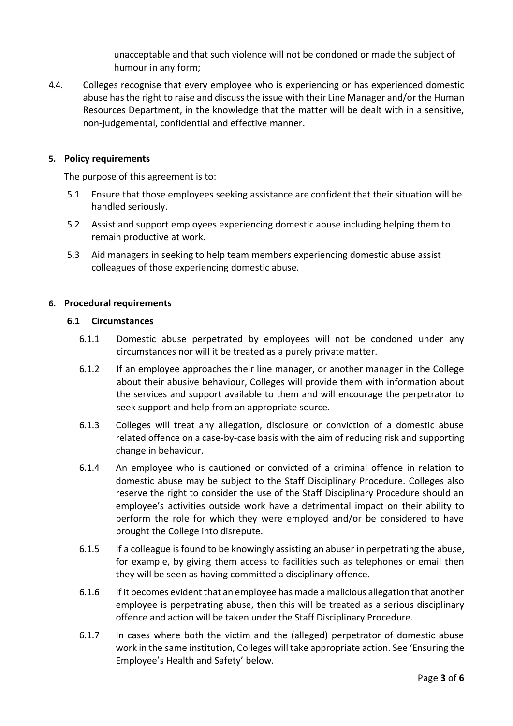unacceptable and that such violence will not be condoned or made the subject of humour in any form;

4.4. Colleges recognise that every employee who is experiencing or has experienced domestic abuse hasthe right to raise and discussthe issue with their Line Manager and/or the Human Resources Department, in the knowledge that the matter will be dealt with in a sensitive, non-judgemental, confidential and effective manner.

#### **5. Policy requirements**

The purpose of this agreement is to:

- 5.1 Ensure that those employees seeking assistance are confident that their situation will be handled seriously.
- 5.2 Assist and support employees experiencing domestic abuse including helping them to remain productive at work.
- 5.3 Aid managers in seeking to help team members experiencing domestic abuse assist colleagues of those experiencing domestic abuse.

#### **6. Procedural requirements**

#### **6.1 Circumstances**

- 6.1.1 Domestic abuse perpetrated by employees will not be condoned under any circumstances nor will it be treated as a purely private matter.
- 6.1.2 If an employee approaches their line manager, or another manager in the College about their abusive behaviour, Colleges will provide them with information about the services and support available to them and will encourage the perpetrator to seek support and help from an appropriate source.
- 6.1.3 Colleges will treat any allegation, disclosure or conviction of a domestic abuse related offence on a case-by-case basis with the aim of reducing risk and supporting change in behaviour.
- 6.1.4 An employee who is cautioned or convicted of a criminal offence in relation to domestic abuse may be subject to the Staff Disciplinary Procedure. Colleges also reserve the right to consider the use of the Staff Disciplinary Procedure should an employee's activities outside work have a detrimental impact on their ability to perform the role for which they were employed and/or be considered to have brought the College into disrepute.
- 6.1.5 If a colleague isfound to be knowingly assisting an abuser in perpetrating the abuse, for example, by giving them access to facilities such as telephones or email then they will be seen as having committed a disciplinary offence.
- 6.1.6 If it becomes evident that an employee has made a malicious allegation that another employee is perpetrating abuse, then this will be treated as a serious disciplinary offence and action will be taken under the Staff Disciplinary Procedure.
- 6.1.7 In cases where both the victim and the (alleged) perpetrator of domestic abuse work in the same institution, Colleges will take appropriate action. See 'Ensuring the Employee's Health and Safety' below.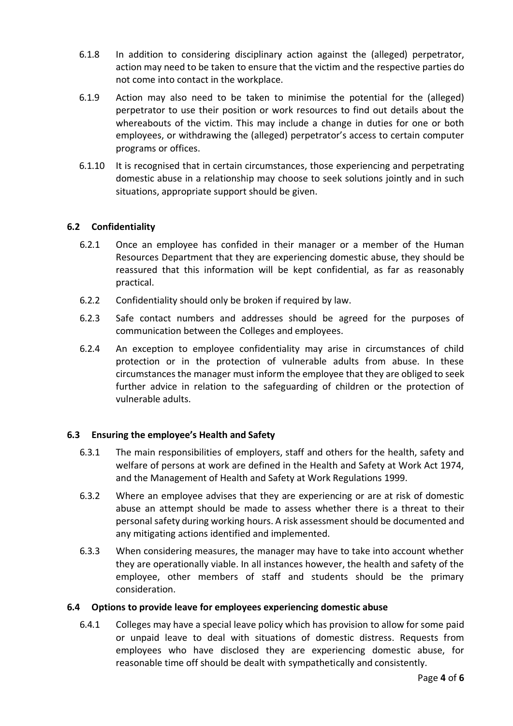- 6.1.8 In addition to considering disciplinary action against the (alleged) perpetrator, action may need to be taken to ensure that the victim and the respective parties do not come into contact in the workplace.
- 6.1.9 Action may also need to be taken to minimise the potential for the (alleged) perpetrator to use their position or work resources to find out details about the whereabouts of the victim. This may include a change in duties for one or both employees, or withdrawing the (alleged) perpetrator's access to certain computer programs or offices.
- 6.1.10 It is recognised that in certain circumstances, those experiencing and perpetrating domestic abuse in a relationship may choose to seek solutions jointly and in such situations, appropriate support should be given.

### **6.2 Confidentiality**

- 6.2.1 Once an employee has confided in their manager or a member of the Human Resources Department that they are experiencing domestic abuse, they should be reassured that this information will be kept confidential, as far as reasonably practical.
- 6.2.2 Confidentiality should only be broken if required by law.
- 6.2.3 Safe contact numbers and addresses should be agreed for the purposes of communication between the Colleges and employees.
- 6.2.4 An exception to employee confidentiality may arise in circumstances of child protection or in the protection of vulnerable adults from abuse. In these circumstances the manager must inform the employee that they are obliged to seek further advice in relation to the safeguarding of children or the protection of vulnerable adults.

# **6.3 Ensuring the employee's Health and Safety**

- 6.3.1 The main responsibilities of employers, staff and others for the health, safety and welfare of persons at work are defined in the Health and Safety at Work Act 1974, and the Management of Health and Safety at Work Regulations 1999.
- 6.3.2 Where an employee advises that they are experiencing or are at risk of domestic abuse an attempt should be made to assess whether there is a threat to their personal safety during working hours. A risk assessment should be documented and any mitigating actions identified and implemented.
- 6.3.3 When considering measures, the manager may have to take into account whether they are operationally viable. In all instances however, the health and safety of the employee, other members of staff and students should be the primary consideration.

### **6.4 Options to provide leave for employees experiencing domestic abuse**

6.4.1 Colleges may have a special leave policy which has provision to allow for some paid or unpaid leave to deal with situations of domestic distress. Requests from employees who have disclosed they are experiencing domestic abuse, for reasonable time off should be dealt with sympathetically and consistently.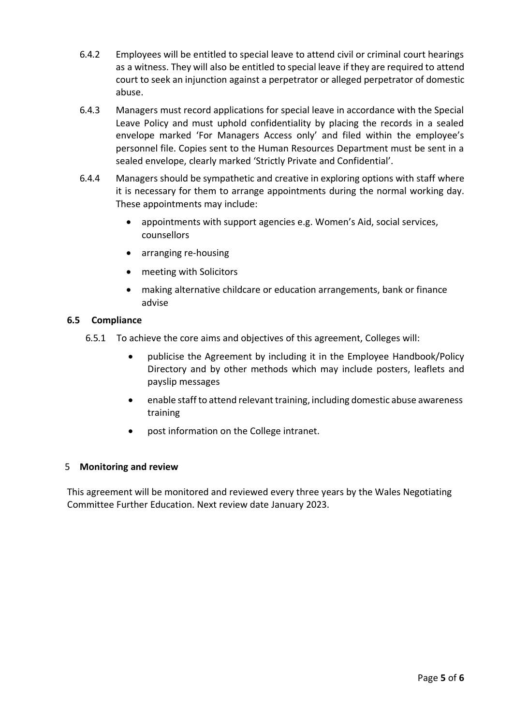- 6.4.2 Employees will be entitled to special leave to attend civil or criminal court hearings as a witness. They will also be entitled to special leave if they are required to attend court to seek an injunction against a perpetrator or alleged perpetrator of domestic abuse.
- 6.4.3 Managers must record applications for special leave in accordance with the Special Leave Policy and must uphold confidentiality by placing the records in a sealed envelope marked 'For Managers Access only' and filed within the employee's personnel file. Copies sent to the Human Resources Department must be sent in a sealed envelope, clearly marked 'Strictly Private and Confidential'.
- 6.4.4 Managers should be sympathetic and creative in exploring options with staff where it is necessary for them to arrange appointments during the normal working day. These appointments may include:
	- appointments with support agencies e.g. Women's Aid, social services, counsellors
	- arranging re-housing
	- meeting with Solicitors
	- making alternative childcare or education arrangements, bank or finance advise

# **6.5 Compliance**

- 6.5.1 To achieve the core aims and objectives of this agreement, Colleges will:
	- publicise the Agreement by including it in the Employee Handbook/Policy Directory and by other methods which may include posters, leaflets and payslip messages
	- enable staff to attend relevant training, including domestic abuse awareness training
	- post information on the College intranet.

# 5 **Monitoring and review**

This agreement will be monitored and reviewed every three years by the Wales Negotiating Committee Further Education. Next review date January 2023.